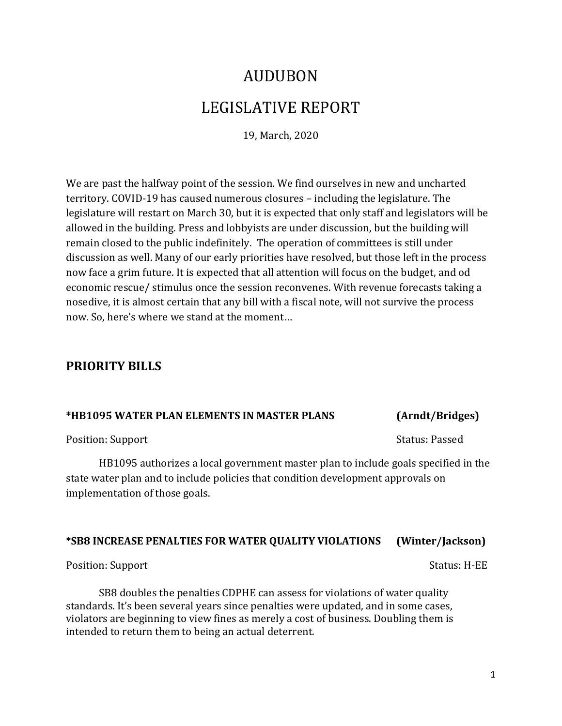# AUDUBON LEGISLATIVE REPORT

19, March, 2020

We are past the halfway point of the session. We find ourselves in new and uncharted territory. COVID-19 has caused numerous closures – including the legislature. The legislature will restart on March 30, but it is expected that only staff and legislators will be allowed in the building. Press and lobbyists are under discussion, but the building will remain closed to the public indefinitely. The operation of committees is still under discussion as well. Many of our early priorities have resolved, but those left in the process now face a grim future. It is expected that all attention will focus on the budget, and od economic rescue/ stimulus once the session reconvenes. With revenue forecasts taking a nosedive, it is almost certain that any bill with a fiscal note, will not survive the process now. So, here's where we stand at the moment…

# **PRIORITY BILLS**

### **\*HB1095 WATER PLAN ELEMENTS IN MASTER PLANS (Arndt/Bridges)**

Position: Support Support Support Status: Passed

HB1095 authorizes a local government master plan to include goals specified in the state water plan and to include policies that condition development approvals on implementation of those goals.

### **\*SB8 INCREASE PENALTIES FOR WATER QUALITY VIOLATIONS (Winter/Jackson)**

Position: Support Support Status: H-EE

SB8 doubles the penalties CDPHE can assess for violations of water quality standards. It's been several years since penalties were updated, and in some cases, violators are beginning to view fines as merely a cost of business. Doubling them is intended to return them to being an actual deterrent.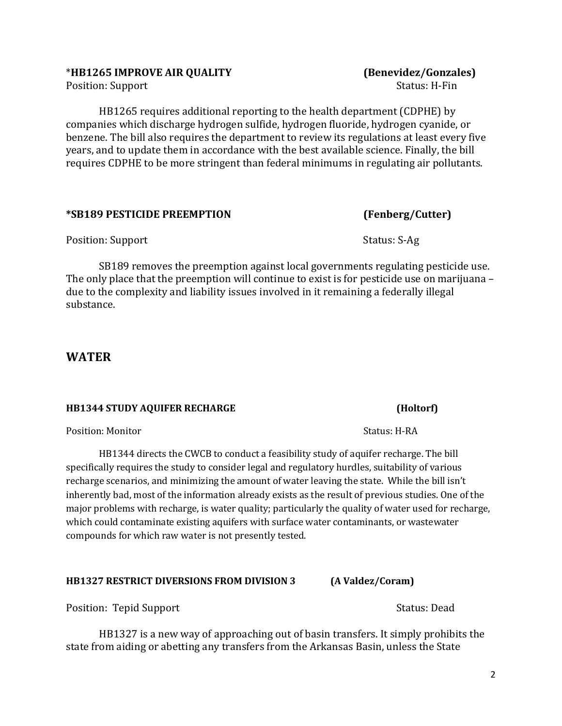Position: Support

HB1265 requires additional reporting to the health department (CDPHE) by companies which discharge hydrogen sulfide, hydrogen fluoride, hydrogen cyanide, or benzene. The bill also requires the department to review its regulations at least every five years, and to update them in accordance with the best available science. Finally, the bill requires CDPHE to be more stringent than federal minimums in regulating air pollutants.

### **\*SB189 PESTICIDE PREEMPTION (Fenberg/Cutter)**

Position: Support Support Status: S-Ag

SB189 removes the preemption against local governments regulating pesticide use. The only place that the preemption will continue to exist is for pesticide use on marijuana – due to the complexity and liability issues involved in it remaining a federally illegal substance.

### **WATER**

### **HB1344 STUDY AQUIFER RECHARGE (Holtorf)**

Position: Monitor Status: H-RA

HB1344 directs the CWCB to conduct a feasibility study of aquifer recharge. The bill specifically requires the study to consider legal and regulatory hurdles, suitability of various recharge scenarios, and minimizing the amount of water leaving the state. While the bill isn't inherently bad, most of the information already exists as the result of previous studies. One of the major problems with recharge, is water quality; particularly the quality of water used for recharge, which could contaminate existing aquifers with surface water contaminants, or wastewater compounds for which raw water is not presently tested.

### **HB1327 RESTRICT DIVERSIONS FROM DIVISION 3 (A Valdez/Coram)**

Position: Tepid Support Status: Dead

HB1327 is a new way of approaching out of basin transfers. It simply prohibits the state from aiding or abetting any transfers from the Arkansas Basin, unless the State

\***HB1265 IMPROVE AIR QUALITY (Benevidez/Gonzales)**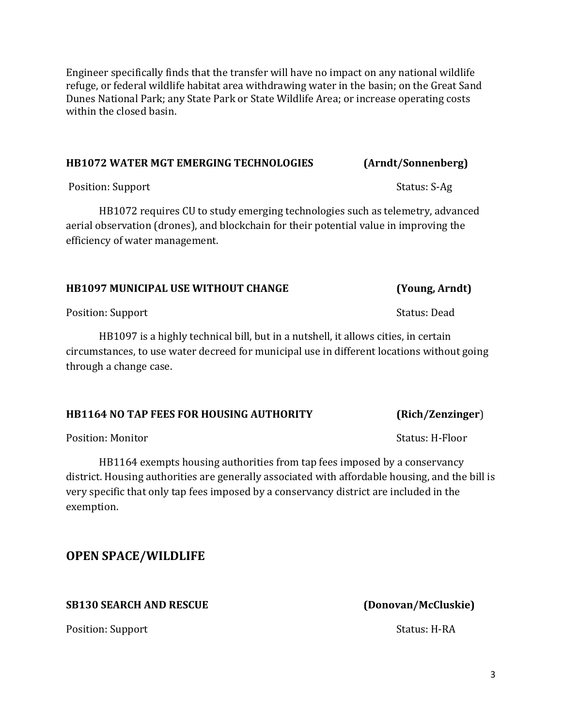Engineer specifically finds that the transfer will have no impact on any national wildlife refuge, or federal wildlife habitat area withdrawing water in the basin; on the Great Sand Dunes National Park; any State Park or State Wildlife Area; or increase operating costs within the closed basin.

### **HB1072 WATER MGT EMERGING TECHNOLOGIES (Arndt/Sonnenberg)**

Position: Support Support Support Status: S-Ag

HB1072 requires CU to study emerging technologies such as telemetry, advanced aerial observation (drones), and blockchain for their potential value in improving the efficiency of water management.

### **HB1097 MUNICIPAL USE WITHOUT CHANGE (Young, Arndt)**

Position: Support Support Status: Dead

HB1097 is a highly technical bill, but in a nutshell, it allows cities, in certain circumstances, to use water decreed for municipal use in different locations without going through a change case.

### **HB1164 NO TAP FEES FOR HOUSING AUTHORITY (Rich/Zenzinger**)

Position: Monitor **Natural Execution: Monitor** Status: H-Floor

HB1164 exempts housing authorities from tap fees imposed by a conservancy district. Housing authorities are generally associated with affordable housing, and the bill is very specific that only tap fees imposed by a conservancy district are included in the exemption.

**OPEN SPACE/WILDLIFE**

### **SB130 SEARCH AND RESCUE (Donovan/McCluskie)**

Position: Support Status: H-RA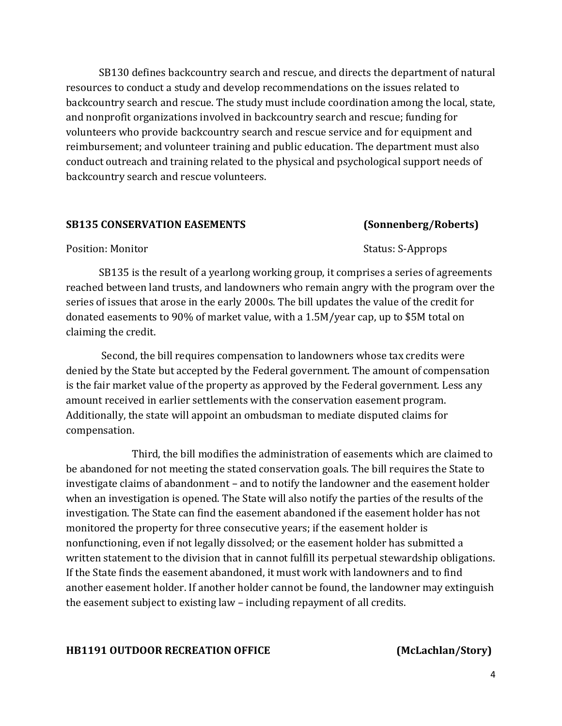SB130 defines backcountry search and rescue, and directs the department of natural resources to conduct a study and develop recommendations on the issues related to backcountry search and rescue. The study must include coordination among the local, state, and nonprofit organizations involved in backcountry search and rescue; funding for volunteers who provide backcountry search and rescue service and for equipment and reimbursement; and volunteer training and public education. The department must also conduct outreach and training related to the physical and psychological support needs of backcountry search and rescue volunteers.

### **SB135 CONSERVATION EASEMENTS (Sonnenberg/Roberts)**

Position: Monitor **Status: S-Approps** 

SB135 is the result of a yearlong working group, it comprises a series of agreements reached between land trusts, and landowners who remain angry with the program over the series of issues that arose in the early 2000s. The bill updates the value of the credit for donated easements to 90% of market value, with a 1.5M/year cap, up to \$5M total on claiming the credit.

Second, the bill requires compensation to landowners whose tax credits were denied by the State but accepted by the Federal government. The amount of compensation is the fair market value of the property as approved by the Federal government. Less any amount received in earlier settlements with the conservation easement program. Additionally, the state will appoint an ombudsman to mediate disputed claims for compensation.

Third, the bill modifies the administration of easements which are claimed to be abandoned for not meeting the stated conservation goals. The bill requires the State to investigate claims of abandonment – and to notify the landowner and the easement holder when an investigation is opened. The State will also notify the parties of the results of the investigation. The State can find the easement abandoned if the easement holder has not monitored the property for three consecutive years; if the easement holder is nonfunctioning, even if not legally dissolved; or the easement holder has submitted a written statement to the division that in cannot fulfill its perpetual stewardship obligations. If the State finds the easement abandoned, it must work with landowners and to find another easement holder. If another holder cannot be found, the landowner may extinguish the easement subject to existing law – including repayment of all credits.

### **HB1191 OUTDOOR RECREATION OFFICE (McLachlan/Story)**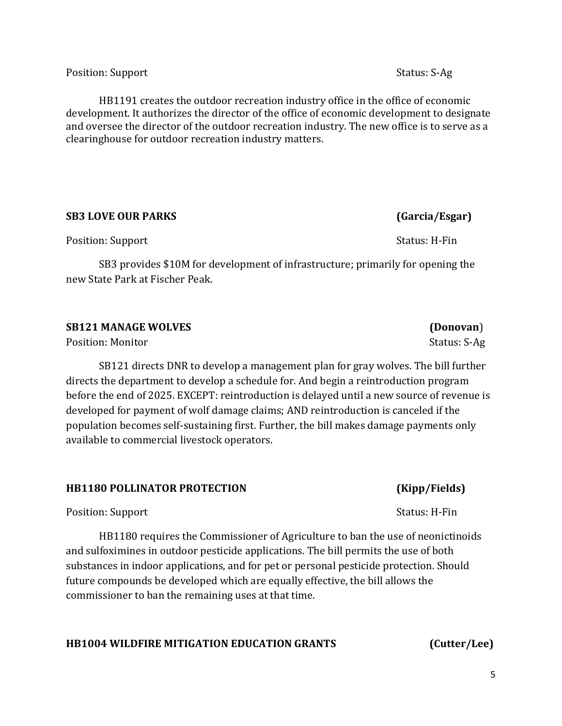Position: Support Support Support Status: S-Ag

HB1191 creates the outdoor recreation industry office in the office of economic development. It authorizes the director of the office of economic development to designate and oversee the director of the outdoor recreation industry. The new office is to serve as a clearinghouse for outdoor recreation industry matters.

### **SB3 LOVE OUR PARKS (Garcia/Esgar)**

Position: Support Support Status: H-Fin

SB3 provides \$10M for development of infrastructure; primarily for opening the new State Park at Fischer Peak.

**SB121 MANAGE WOLVES (Donovan**)

Position: Monitor Status: S-Ag

SB121 directs DNR to develop a management plan for gray wolves. The bill further directs the department to develop a schedule for. And begin a reintroduction program before the end of 2025. EXCEPT: reintroduction is delayed until a new source of revenue is developed for payment of wolf damage claims; AND reintroduction is canceled if the population becomes self-sustaining first. Further, the bill makes damage payments only available to commercial livestock operators.

### **HB1180 POLLINATOR PROTECTION (Kipp/Fields)**

Position: Support Support Status: H-Fin

HB1180 requires the Commissioner of Agriculture to ban the use of neonictinoids and sulfoximines in outdoor pesticide applications. The bill permits the use of both substances in indoor applications, and for pet or personal pesticide protection. Should future compounds be developed which are equally effective, the bill allows the commissioner to ban the remaining uses at that time.

### **HB1004 WILDFIRE MITIGATION EDUCATION GRANTS (Cutter/Lee)**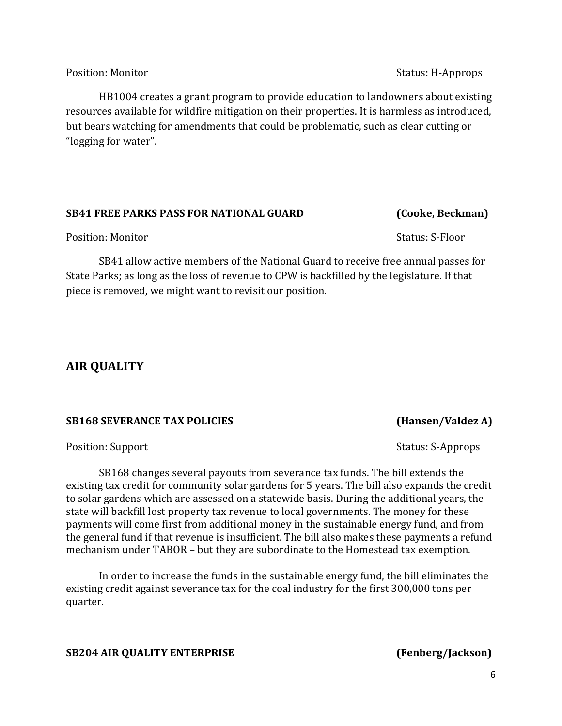Position: Monitor **Status: H-Approps** 

HB1004 creates a grant program to provide education to landowners about existing resources available for wildfire mitigation on their properties. It is harmless as introduced, but bears watching for amendments that could be problematic, such as clear cutting or "logging for water".

### **SB41 FREE PARKS PASS FOR NATIONAL GUARD (Cooke, Beckman)**

Position: Monitor Status: S-Floor

SB41 allow active members of the National Guard to receive free annual passes for State Parks; as long as the loss of revenue to CPW is backfilled by the legislature. If that piece is removed, we might want to revisit our position.

# **AIR QUALITY**

### **SB168 SEVERANCE TAX POLICIES (Hansen/Valdez A)**

SB168 changes several payouts from severance tax funds. The bill extends the existing tax credit for community solar gardens for 5 years. The bill also expands the credit to solar gardens which are assessed on a statewide basis. During the additional years, the state will backfill lost property tax revenue to local governments. The money for these payments will come first from additional money in the sustainable energy fund, and from the general fund if that revenue is insufficient. The bill also makes these payments a refund mechanism under TABOR – but they are subordinate to the Homestead tax exemption.

In order to increase the funds in the sustainable energy fund, the bill eliminates the existing credit against severance tax for the coal industry for the first 300,000 tons per quarter.

### **SB204 AIR QUALITY ENTERPRISE (Fenberg/Jackson)**

Position: Support **Support** Support Status: S-Approps Status: S-Approps Status: S-Approps Status: S-Approps Status: S-Approps Status: S-Approps Status: S-Approps Status: S-Approps Status: S-Approps Status: S-Approps Status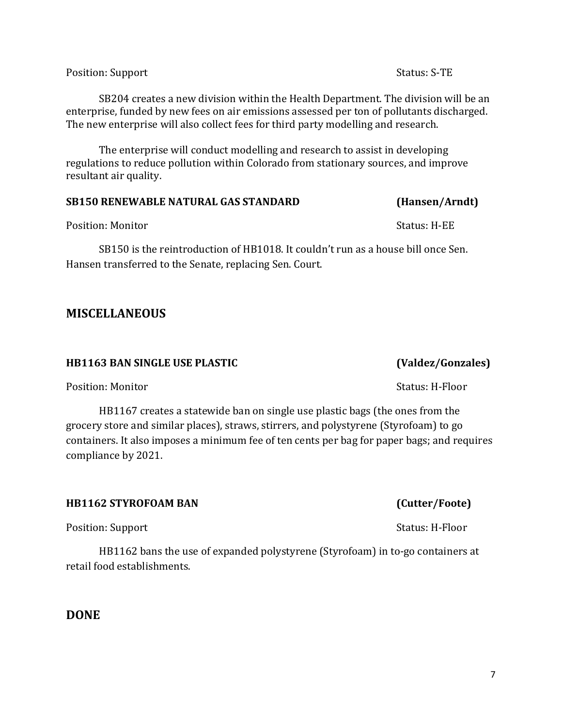Position: Support Status: S-TE

SB204 creates a new division within the Health Department. The division will be an enterprise, funded by new fees on air emissions assessed per ton of pollutants discharged. The new enterprise will also collect fees for third party modelling and research.

The enterprise will conduct modelling and research to assist in developing regulations to reduce pollution within Colorado from stationary sources, and improve resultant air quality.

### **SB150 RENEWABLE NATURAL GAS STANDARD (Hansen/Arndt)**

Position: Monitor Status: H-EE

SB150 is the reintroduction of HB1018. It couldn't run as a house bill once Sen. Hansen transferred to the Senate, replacing Sen. Court.

# **MISCELLANEOUS**

### **HB1163 BAN SINGLE USE PLASTIC (Valdez/Gonzales)**

Position: Monitor News, 2008. The Status: H-Floor Status: H-Floor

HB1167 creates a statewide ban on single use plastic bags (the ones from the grocery store and similar places), straws, stirrers, and polystyrene (Styrofoam) to go containers. It also imposes a minimum fee of ten cents per bag for paper bags; and requires compliance by 2021.

### **HB1162 STYROFOAM BAN (Cutter/Foote)**

Position: Support Support Status: H-Floor

HB1162 bans the use of expanded polystyrene (Styrofoam) in to-go containers at retail food establishments.

**DONE**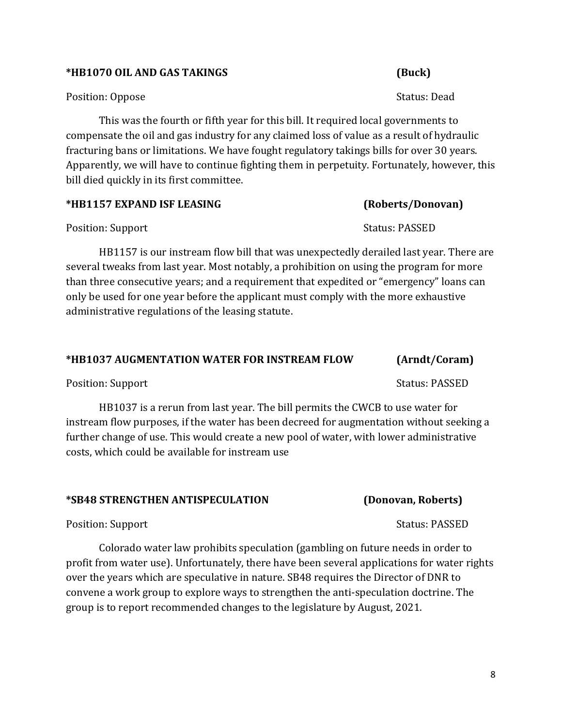8

### **\*HB1070 OIL AND GAS TAKINGS (Buck)**

### Position: Oppose Status: Dead

This was the fourth or fifth year for this bill. It required local governments to compensate the oil and gas industry for any claimed loss of value as a result of hydraulic fracturing bans or limitations. We have fought regulatory takings bills for over 30 years. Apparently, we will have to continue fighting them in perpetuity. Fortunately, however, this bill died quickly in its first committee.

| *HB1157 EXPAND ISF LEASING | (Roberts/Donovan) |
|----------------------------|-------------------|
|----------------------------|-------------------|

Position: Support Support Status: PASSED

HB1157 is our instream flow bill that was unexpectedly derailed last year. There are several tweaks from last year. Most notably, a prohibition on using the program for more than three consecutive years; and a requirement that expedited or "emergency" loans can only be used for one year before the applicant must comply with the more exhaustive administrative regulations of the leasing statute.

### **\*HB1037 AUGMENTATION WATER FOR INSTREAM FLOW (Arndt/Coram)**

Position: Support Support Status: PASSED

HB1037 is a rerun from last year. The bill permits the CWCB to use water for instream flow purposes, if the water has been decreed for augmentation without seeking a further change of use. This would create a new pool of water, with lower administrative costs, which could be available for instream use

### **\*SB48 STRENGTHEN ANTISPECULATION (Donovan, Roberts)**

Position: Support Support Status: PASSED

Colorado water law prohibits speculation (gambling on future needs in order to profit from water use). Unfortunately, there have been several applications for water rights over the years which are speculative in nature. SB48 requires the Director of DNR to convene a work group to explore ways to strengthen the anti-speculation doctrine. The group is to report recommended changes to the legislature by August, 2021.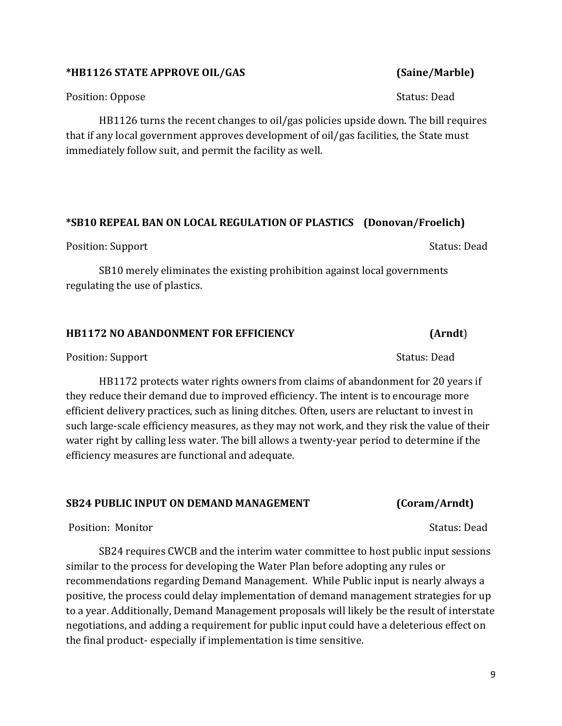### **\*HB1126 STATE APPROVE OIL/GAS (Saine/Marble)**

Position: Oppose Status: Dead

HB1126 turns the recent changes to oil/gas policies upside down. The bill requires that if any local government approves development of oil/gas facilities, the State must immediately follow suit, and permit the facility as well.

# **\*SB10 REPEAL BAN ON LOCAL REGULATION OF PLASTICS (Donovan/Froelich)**

Position: Support Support Status: Dead

SB10 merely eliminates the existing prohibition against local governments regulating the use of plastics.

# **HB1172 NO ABANDONMENT FOR EFFICIENCY (Arndt**)

Position: Support Support Status: Dead

HB1172 protects water rights owners from claims of abandonment for 20 years if they reduce their demand due to improved efficiency. The intent is to encourage more efficient delivery practices, such as lining ditches. Often, users are reluctant to invest in such large-scale efficiency measures, as they may not work, and they risk the value of their water right by calling less water. The bill allows a twenty-year period to determine if the efficiency measures are functional and adequate.

# **SB24 PUBLIC INPUT ON DEMAND MANAGEMENT (Coram/Arndt)**

Position: Monitor Status: Dead

SB24 requires CWCB and the interim water committee to host public input sessions similar to the process for developing the Water Plan before adopting any rules or recommendations regarding Demand Management. While Public input is nearly always a positive, the process could delay implementation of demand management strategies for up to a year. Additionally, Demand Management proposals will likely be the result of interstate negotiations, and adding a requirement for public input could have a deleterious effect on the final product- especially if implementation is time sensitive.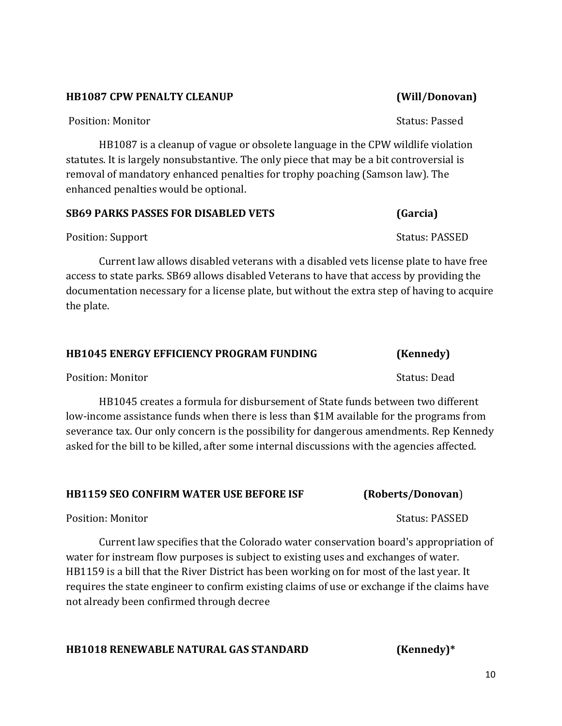### **HB1087 CPW PENALTY CLEANUP (Will/Donovan)**

Position: Monitor Status: Passed

HB1087 is a cleanup of vague or obsolete language in the CPW wildlife violation statutes. It is largely nonsubstantive. The only piece that may be a bit controversial is removal of mandatory enhanced penalties for trophy poaching (Samson law). The enhanced penalties would be optional.

### **SB69 PARKS PASSES FOR DISABLED VETS (Garcia)**

Position: Support Support Status: PASSED

Current law allows disabled veterans with a disabled vets license plate to have free access to state parks. SB69 allows disabled Veterans to have that access by providing the documentation necessary for a license plate, but without the extra step of having to acquire the plate.

### **HB1045 ENERGY EFFICIENCY PROGRAM FUNDING (Kennedy)**

Position: Monitor Status: Dead

HB1045 creates a formula for disbursement of State funds between two different low-income assistance funds when there is less than \$1M available for the programs from severance tax. Our only concern is the possibility for dangerous amendments. Rep Kennedy asked for the bill to be killed, after some internal discussions with the agencies affected.

### **HB1159 SEO CONFIRM WATER USE BEFORE ISF (Roberts/Donovan**)

Position: Monitor Status: PASSED

Current law specifies that the Colorado water conservation board's appropriation of water for instream flow purposes is subject to existing uses and exchanges of water. HB1159 is a bill that the River District has been working on for most of the last year. It requires the state engineer to confirm existing claims of use or exchange if the claims have not already been confirmed through decree

**HB1018 RENEWABLE NATURAL GAS STANDARD (Kennedy)\***